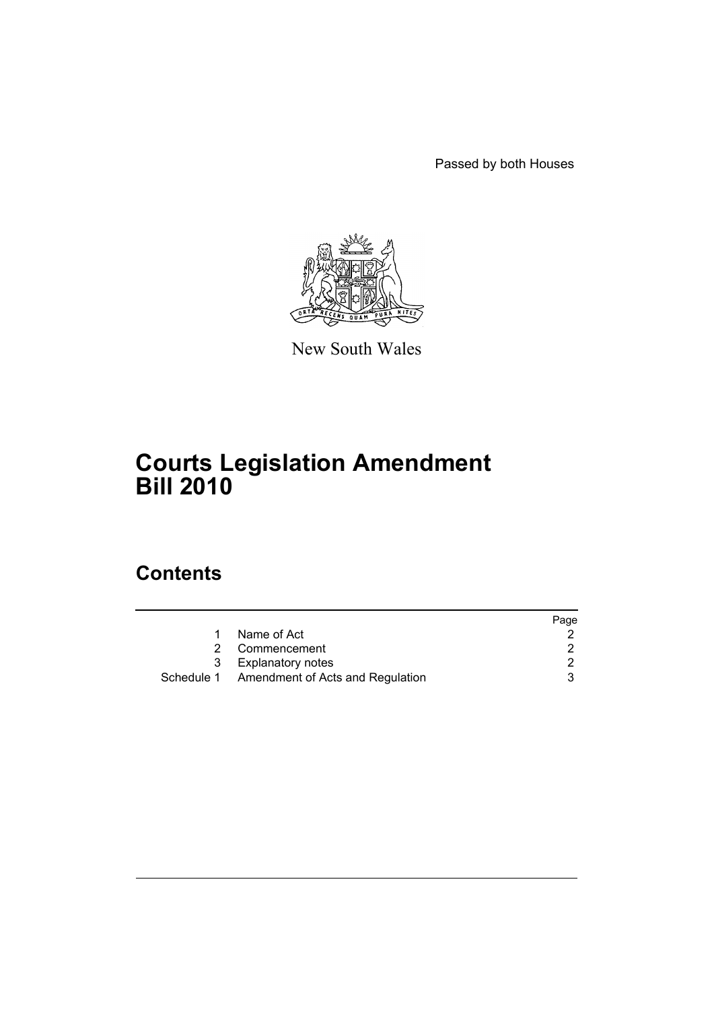Passed by both Houses



New South Wales

# **Courts Legislation Amendment Bill 2010**

# **Contents**

|                                             | Page |
|---------------------------------------------|------|
| Name of Act                                 |      |
| Commencement                                |      |
| 3 Explanatory notes                         |      |
| Schedule 1 Amendment of Acts and Regulation |      |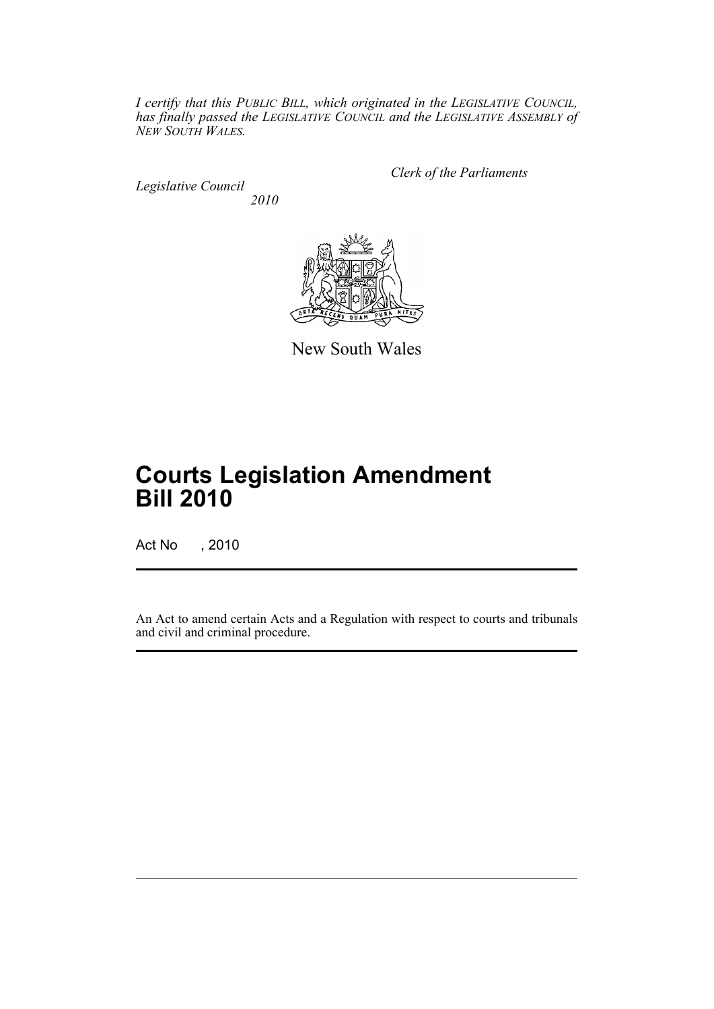*I certify that this PUBLIC BILL, which originated in the LEGISLATIVE COUNCIL, has finally passed the LEGISLATIVE COUNCIL and the LEGISLATIVE ASSEMBLY of NEW SOUTH WALES.*

*Legislative Council 2010* *Clerk of the Parliaments*



New South Wales

# **Courts Legislation Amendment Bill 2010**

Act No , 2010

An Act to amend certain Acts and a Regulation with respect to courts and tribunals and civil and criminal procedure.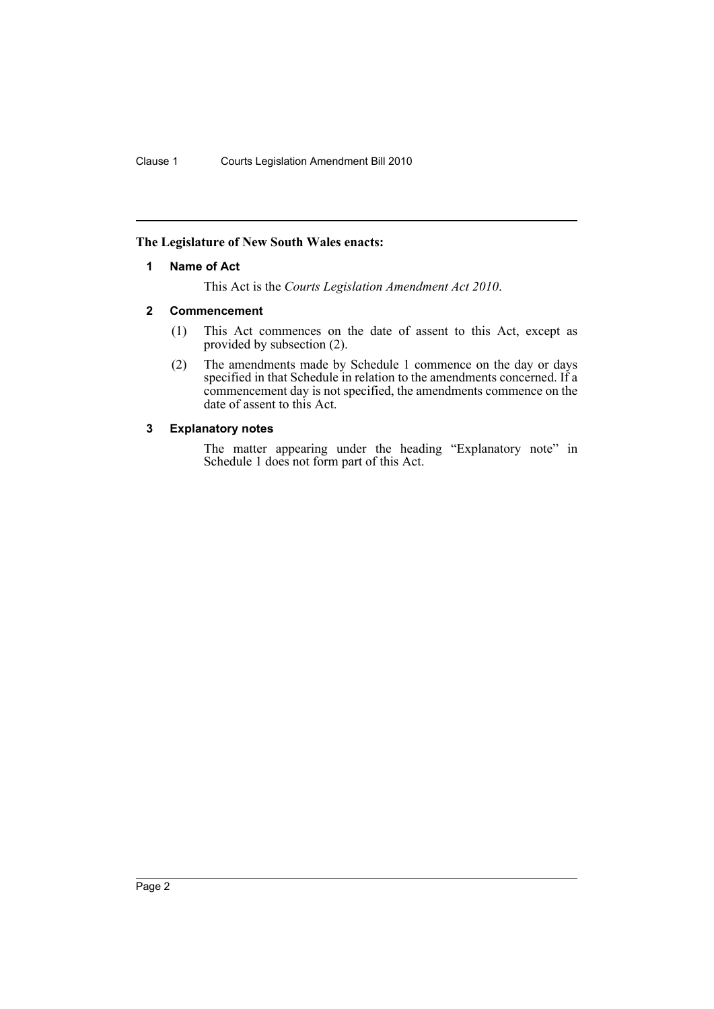### <span id="page-2-0"></span>**The Legislature of New South Wales enacts:**

#### **1 Name of Act**

This Act is the *Courts Legislation Amendment Act 2010*.

#### <span id="page-2-1"></span>**2 Commencement**

- (1) This Act commences on the date of assent to this Act, except as provided by subsection (2).
- (2) The amendments made by Schedule 1 commence on the day or days specified in that Schedule in relation to the amendments concerned. If a commencement day is not specified, the amendments commence on the date of assent to this Act.

### <span id="page-2-2"></span>**3 Explanatory notes**

The matter appearing under the heading "Explanatory note" in Schedule 1 does not form part of this Act.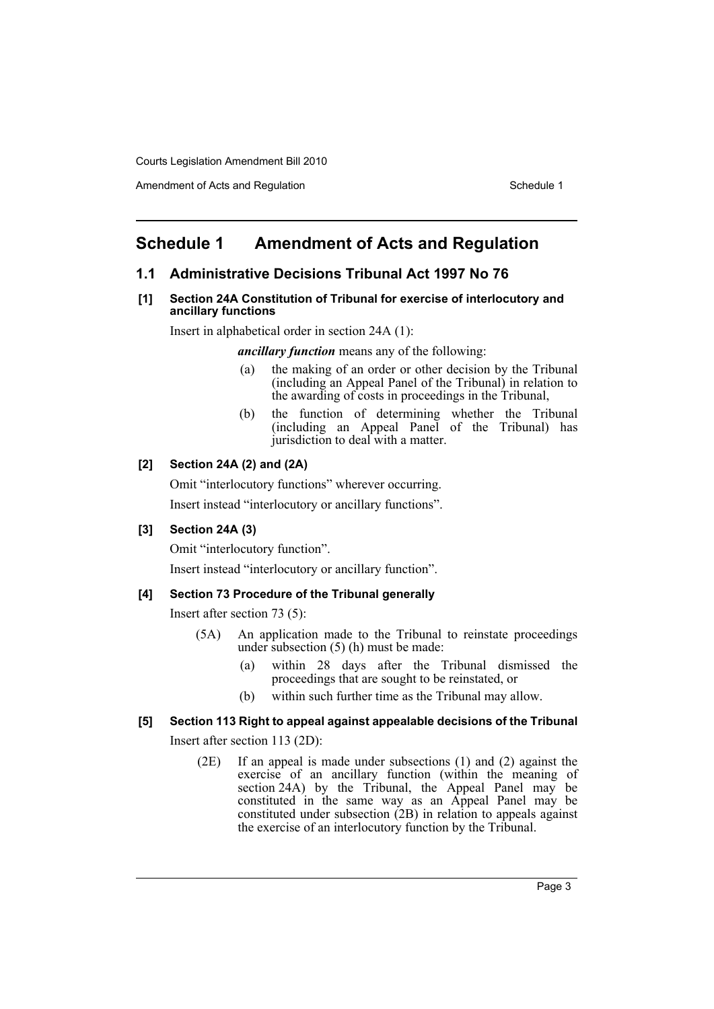Amendment of Acts and Regulation Schedule 1

### <span id="page-3-0"></span>**Schedule 1 Amendment of Acts and Regulation**

### **1.1 Administrative Decisions Tribunal Act 1997 No 76**

#### **[1] Section 24A Constitution of Tribunal for exercise of interlocutory and ancillary functions**

Insert in alphabetical order in section 24A (1):

*ancillary function* means any of the following:

- (a) the making of an order or other decision by the Tribunal (including an Appeal Panel of the Tribunal) in relation to the awarding of costs in proceedings in the Tribunal,
- (b) the function of determining whether the Tribunal (including an Appeal Panel of the Tribunal) has jurisdiction to deal with a matter.

### **[2] Section 24A (2) and (2A)**

Omit "interlocutory functions" wherever occurring.

Insert instead "interlocutory or ancillary functions".

### **[3] Section 24A (3)**

Omit "interlocutory function".

Insert instead "interlocutory or ancillary function".

### **[4] Section 73 Procedure of the Tribunal generally**

Insert after section 73 (5):

- (5A) An application made to the Tribunal to reinstate proceedings under subsection (5) (h) must be made:
	- (a) within 28 days after the Tribunal dismissed the proceedings that are sought to be reinstated, or
	- (b) within such further time as the Tribunal may allow.

### **[5] Section 113 Right to appeal against appealable decisions of the Tribunal**

Insert after section 113 (2D):

(2E) If an appeal is made under subsections (1) and (2) against the exercise of an ancillary function (within the meaning of section 24A) by the Tribunal, the Appeal Panel may be constituted in the same way as an Appeal Panel may be constituted under subsection (2B) in relation to appeals against the exercise of an interlocutory function by the Tribunal.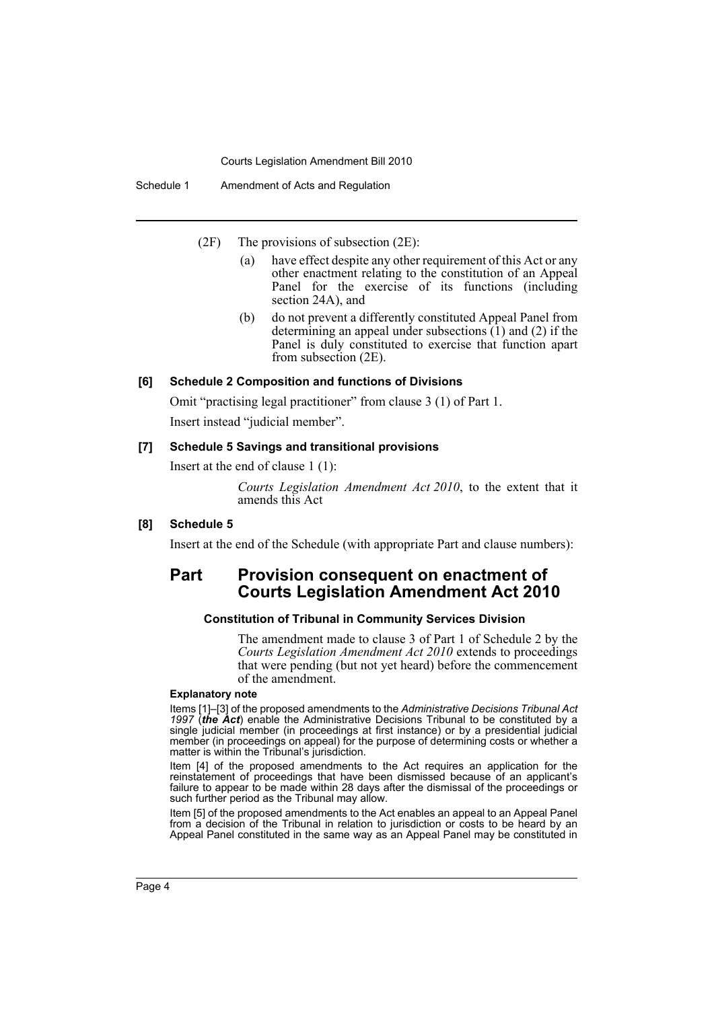Schedule 1 Amendment of Acts and Regulation

(2F) The provisions of subsection (2E):

- (a) have effect despite any other requirement of this Act or any other enactment relating to the constitution of an Appeal Panel for the exercise of its functions (including section 24A), and
- (b) do not prevent a differently constituted Appeal Panel from determining an appeal under subsections  $(1)$  and  $(2)$  if the Panel is duly constituted to exercise that function apart from subsection (2E).

#### **[6] Schedule 2 Composition and functions of Divisions**

Omit "practising legal practitioner" from clause 3 (1) of Part 1.

Insert instead "judicial member".

#### **[7] Schedule 5 Savings and transitional provisions**

Insert at the end of clause 1 (1):

*Courts Legislation Amendment Act 2010*, to the extent that it amends this Act

#### **[8] Schedule 5**

Insert at the end of the Schedule (with appropriate Part and clause numbers):

### **Part Provision consequent on enactment of Courts Legislation Amendment Act 2010**

#### **Constitution of Tribunal in Community Services Division**

The amendment made to clause 3 of Part 1 of Schedule 2 by the *Courts Legislation Amendment Act 2010* extends to proceedings that were pending (but not yet heard) before the commencement of the amendment.

#### **Explanatory note**

Items [1]–[3] of the proposed amendments to the *Administrative Decisions Tribunal Act 1997* (*the Act*) enable the Administrative Decisions Tribunal to be constituted by a single judicial member (in proceedings at first instance) or by a presidential judicial member (in proceedings on appeal) for the purpose of determining costs or whether a matter is within the Tribunal's jurisdiction.

Item [4] of the proposed amendments to the Act requires an application for the reinstatement of proceedings that have been dismissed because of an applicant's failure to appear to be made within 28 days after the dismissal of the proceedings or such further period as the Tribunal may allow.

Item [5] of the proposed amendments to the Act enables an appeal to an Appeal Panel from a decision of the Tribunal in relation to jurisdiction or costs to be heard by an Appeal Panel constituted in the same way as an Appeal Panel may be constituted in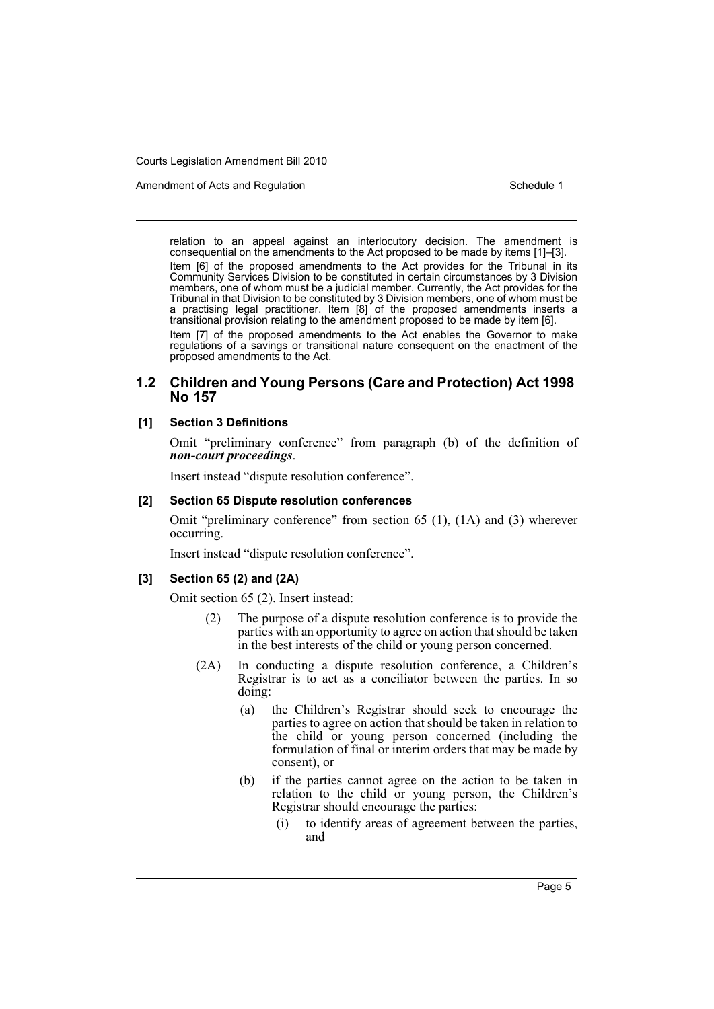Amendment of Acts and Regulation Schedule 1 and Schedule 1

relation to an appeal against an interlocutory decision. The amendment is consequential on the amendments to the Act proposed to be made by items [1]–[3]. Item [6] of the proposed amendments to the Act provides for the Tribunal in its Community Services Division to be constituted in certain circumstances by 3 Division members, one of whom must be a judicial member. Currently, the Act provides for the Tribunal in that Division to be constituted by 3 Division members, one of whom must be a practising legal practitioner. Item [8] of the proposed amendments inserts a

transitional provision relating to the amendment proposed to be made by item [6]. Item [7] of the proposed amendments to the Act enables the Governor to make regulations of a savings or transitional nature consequent on the enactment of the proposed amendments to the Act.

### **1.2 Children and Young Persons (Care and Protection) Act 1998 No 157**

#### **[1] Section 3 Definitions**

Omit "preliminary conference" from paragraph (b) of the definition of *non-court proceedings*.

Insert instead "dispute resolution conference".

#### **[2] Section 65 Dispute resolution conferences**

Omit "preliminary conference" from section 65 (1), (1A) and (3) wherever occurring.

Insert instead "dispute resolution conference".

#### **[3] Section 65 (2) and (2A)**

Omit section 65 (2). Insert instead:

- (2) The purpose of a dispute resolution conference is to provide the parties with an opportunity to agree on action that should be taken in the best interests of the child or young person concerned.
- (2A) In conducting a dispute resolution conference, a Children's Registrar is to act as a conciliator between the parties. In so doing:
	- (a) the Children's Registrar should seek to encourage the parties to agree on action that should be taken in relation to the child or young person concerned (including the formulation of final or interim orders that may be made by consent), or
	- (b) if the parties cannot agree on the action to be taken in relation to the child or young person, the Children's Registrar should encourage the parties:
		- (i) to identify areas of agreement between the parties, and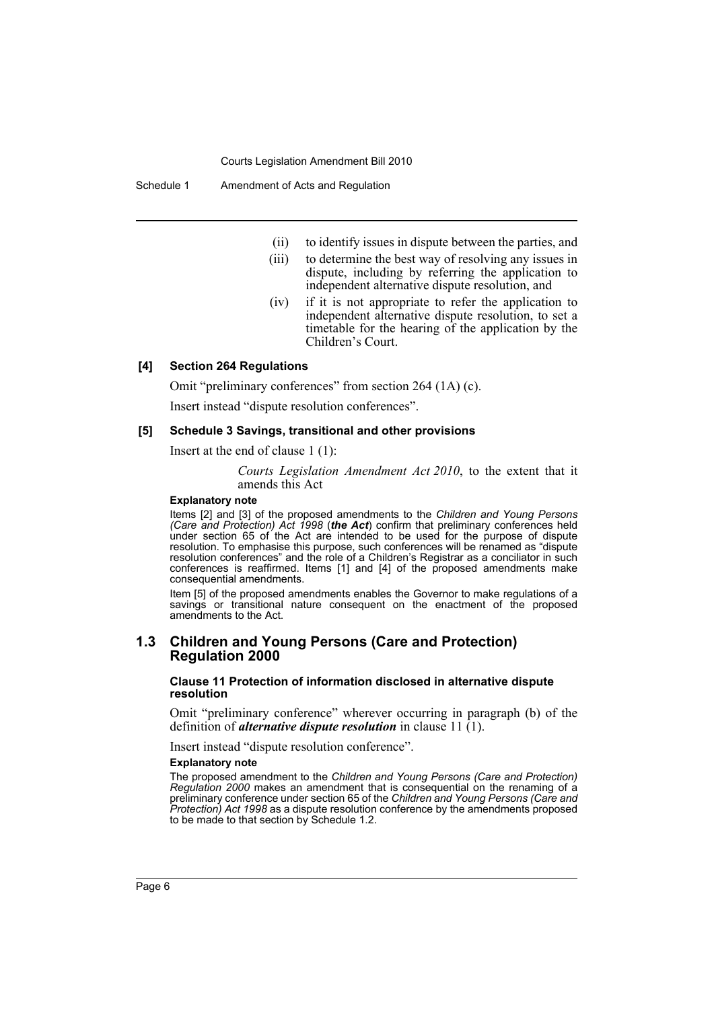Schedule 1 Amendment of Acts and Regulation

- (ii) to identify issues in dispute between the parties, and
- (iii) to determine the best way of resolving any issues in dispute, including by referring the application to independent alternative dispute resolution, and
- (iv) if it is not appropriate to refer the application to independent alternative dispute resolution, to set a timetable for the hearing of the application by the Children's Court.

#### **[4] Section 264 Regulations**

Omit "preliminary conferences" from section 264 (1A) (c).

Insert instead "dispute resolution conferences".

#### **[5] Schedule 3 Savings, transitional and other provisions**

Insert at the end of clause 1 (1):

*Courts Legislation Amendment Act 2010*, to the extent that it amends this Act

#### **Explanatory note**

Items [2] and [3] of the proposed amendments to the *Children and Young Persons (Care and Protection) Act 1998* (*the Act*) confirm that preliminary conferences held under section 65 of the Act are intended to be used for the purpose of dispute resolution. To emphasise this purpose, such conferences will be renamed as "dispute resolution conferences" and the role of a Children's Registrar as a conciliator in such conferences is reaffirmed. Items [1] and [4] of the proposed amendments make consequential amendments.

Item [5] of the proposed amendments enables the Governor to make regulations of a savings or transitional nature consequent on the enactment of the proposed amendments to the Act.

### **1.3 Children and Young Persons (Care and Protection) Regulation 2000**

**Clause 11 Protection of information disclosed in alternative dispute resolution**

Omit "preliminary conference" wherever occurring in paragraph (b) of the definition of *alternative dispute resolution* in clause 11 (1).

Insert instead "dispute resolution conference".

#### **Explanatory note**

The proposed amendment to the *Children and Young Persons (Care and Protection) Regulation 2000* makes an amendment that is consequential on the renaming of a preliminary conference under section 65 of the *Children and Young Persons (Care and Protection) Act 1998* as a dispute resolution conference by the amendments proposed to be made to that section by Schedule 1.2.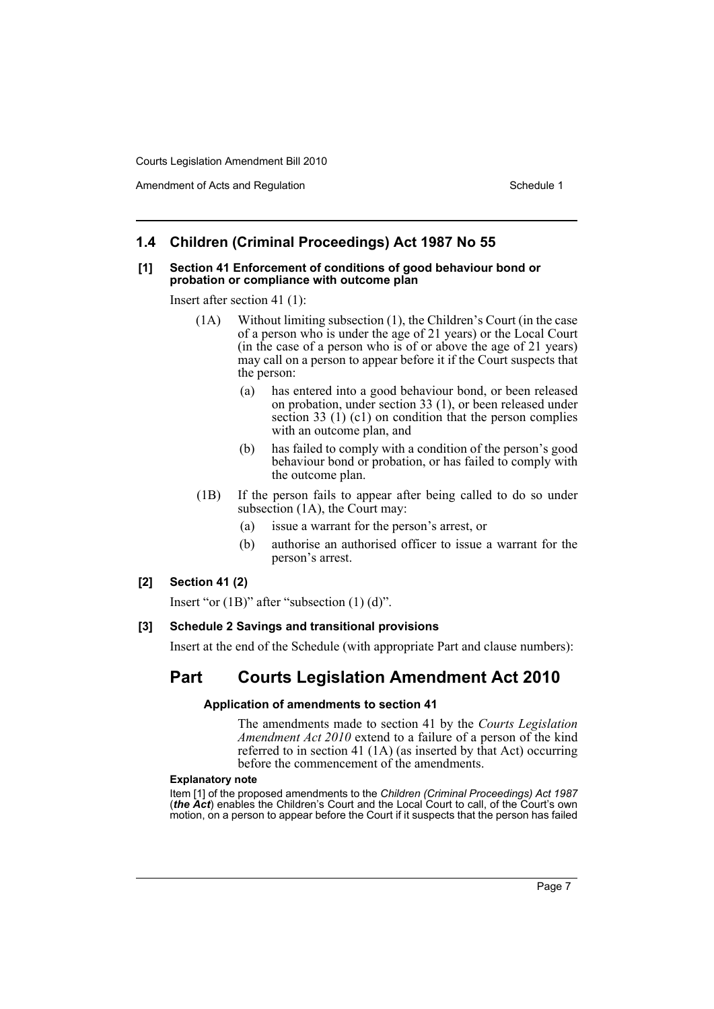Amendment of Acts and Regulation Schedule 1 and Schedule 1

### **1.4 Children (Criminal Proceedings) Act 1987 No 55**

#### **[1] Section 41 Enforcement of conditions of good behaviour bond or probation or compliance with outcome plan**

Insert after section 41 (1):

- (1A) Without limiting subsection (1), the Children's Court (in the case of a person who is under the age of 21 years) or the Local Court (in the case of a person who is of or above the age of 21 years) may call on a person to appear before it if the Court suspects that the person:
	- (a) has entered into a good behaviour bond, or been released on probation, under section 33 (1), or been released under section 33 (1) (c1) on condition that the person complies with an outcome plan, and
	- (b) has failed to comply with a condition of the person's good behaviour bond or probation, or has failed to comply with the outcome plan.
- (1B) If the person fails to appear after being called to do so under subsection (1A), the Court may:
	- (a) issue a warrant for the person's arrest, or
	- (b) authorise an authorised officer to issue a warrant for the person's arrest.

#### **[2] Section 41 (2)**

Insert "or (1B)" after "subsection (1) (d)".

### **[3] Schedule 2 Savings and transitional provisions**

Insert at the end of the Schedule (with appropriate Part and clause numbers):

## **Part Courts Legislation Amendment Act 2010**

#### **Application of amendments to section 41**

The amendments made to section 41 by the *Courts Legislation Amendment Act 2010* extend to a failure of a person of the kind referred to in section 41 (1A) (as inserted by that Act) occurring before the commencement of the amendments.

#### **Explanatory note**

Item [1] of the proposed amendments to the *Children (Criminal Proceedings) Act 1987* (*the Act*) enables the Children's Court and the Local Court to call, of the Court's own motion, on a person to appear before the Court if it suspects that the person has failed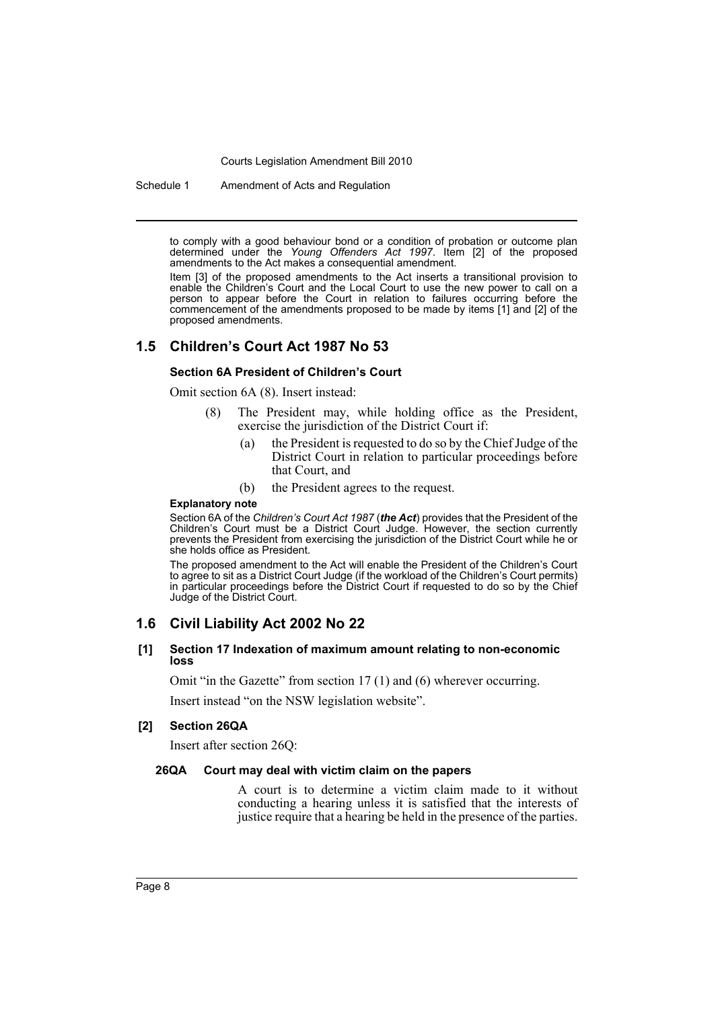Schedule 1 Amendment of Acts and Regulation

to comply with a good behaviour bond or a condition of probation or outcome plan determined under the *Young Offenders Act 1997*. Item [2] of the proposed amendments to the Act makes a consequential amendment.

Item [3] of the proposed amendments to the Act inserts a transitional provision to enable the Children's Court and the Local Court to use the new power to call on a person to appear before the Court in relation to failures occurring before the commencement of the amendments proposed to be made by items [1] and [2] of the proposed amendments.

### **1.5 Children's Court Act 1987 No 53**

#### **Section 6A President of Children's Court**

Omit section 6A (8). Insert instead:

- (8) The President may, while holding office as the President, exercise the jurisdiction of the District Court if:
	- (a) the President is requested to do so by the Chief Judge of the District Court in relation to particular proceedings before that Court, and
	- (b) the President agrees to the request.

#### **Explanatory note**

Section 6A of the *Children's Court Act 1987* (*the Act*) provides that the President of the Children's Court must be a District Court Judge. However, the section currently prevents the President from exercising the jurisdiction of the District Court while he or she holds office as President.

The proposed amendment to the Act will enable the President of the Children's Court to agree to sit as a District Court Judge (if the workload of the Children's Court permits) in particular proceedings before the District Court if requested to do so by the Chief Judge of the District Court.

### **1.6 Civil Liability Act 2002 No 22**

#### **[1] Section 17 Indexation of maximum amount relating to non-economic loss**

Omit "in the Gazette" from section 17 (1) and (6) wherever occurring.

Insert instead "on the NSW legislation website".

#### **[2] Section 26QA**

Insert after section 26Q:

#### **26QA Court may deal with victim claim on the papers**

A court is to determine a victim claim made to it without conducting a hearing unless it is satisfied that the interests of justice require that a hearing be held in the presence of the parties.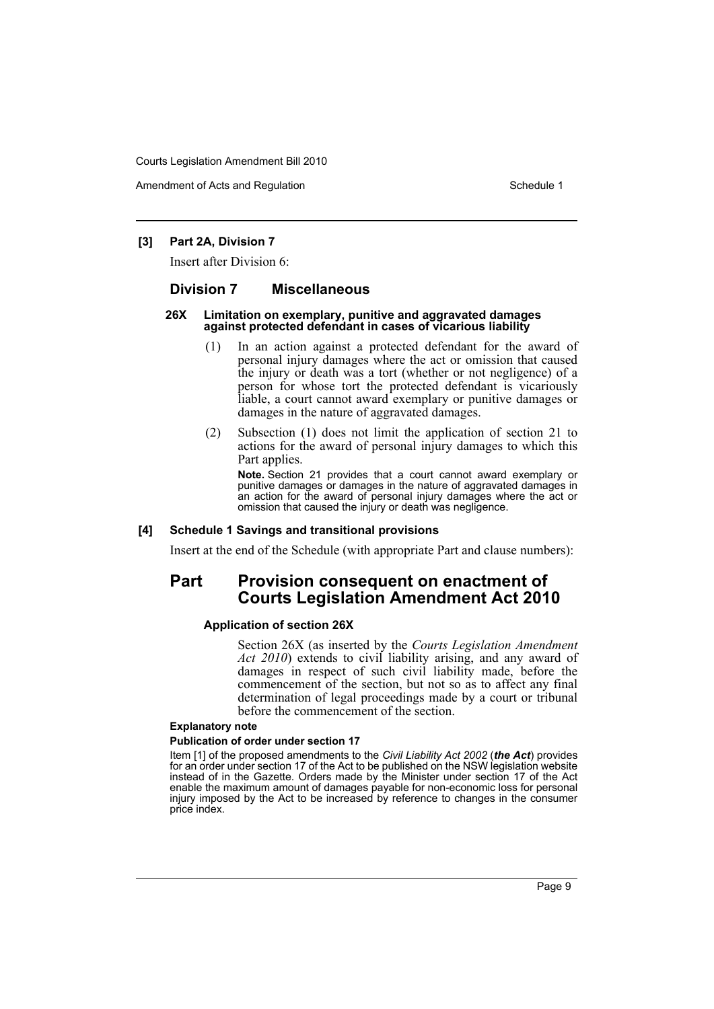Amendment of Acts and Regulation Schedule 1 and Schedule 1

#### **[3] Part 2A, Division 7**

Insert after Division 6:

### **Division 7 Miscellaneous**

#### **26X Limitation on exemplary, punitive and aggravated damages against protected defendant in cases of vicarious liability**

- (1) In an action against a protected defendant for the award of personal injury damages where the act or omission that caused the injury or death was a tort (whether or not negligence) of a person for whose tort the protected defendant is vicariously liable, a court cannot award exemplary or punitive damages or damages in the nature of aggravated damages.
- (2) Subsection (1) does not limit the application of section 21 to actions for the award of personal injury damages to which this Part applies.

**Note.** Section 21 provides that a court cannot award exemplary or punitive damages or damages in the nature of aggravated damages in an action for the award of personal injury damages where the act or omission that caused the injury or death was negligence.

#### **[4] Schedule 1 Savings and transitional provisions**

Insert at the end of the Schedule (with appropriate Part and clause numbers):

### **Part Provision consequent on enactment of Courts Legislation Amendment Act 2010**

#### **Application of section 26X**

Section 26X (as inserted by the *Courts Legislation Amendment Act 2010*) extends to civil liability arising, and any award of damages in respect of such civil liability made, before the commencement of the section, but not so as to affect any final determination of legal proceedings made by a court or tribunal before the commencement of the section.

#### **Explanatory note**

#### **Publication of order under section 17**

Item [1] of the proposed amendments to the *Civil Liability Act 2002* (*the Act*) provides for an order under section 17 of the Act to be published on the NSW legislation website instead of in the Gazette. Orders made by the Minister under section 17 of the Act enable the maximum amount of damages payable for non-economic loss for personal injury imposed by the Act to be increased by reference to changes in the consumer price index.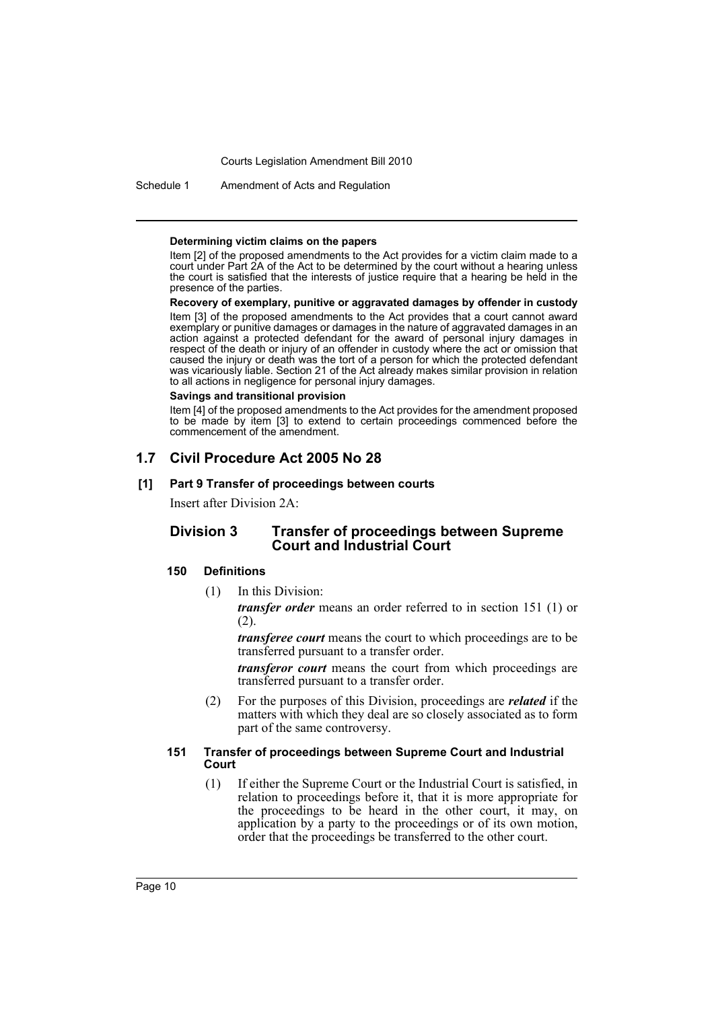Schedule 1 Amendment of Acts and Regulation

#### **Determining victim claims on the papers**

Item [2] of the proposed amendments to the Act provides for a victim claim made to a court under Part 2A of the Act to be determined by the court without a hearing unless the court is satisfied that the interests of justice require that a hearing be held in the presence of the parties.

**Recovery of exemplary, punitive or aggravated damages by offender in custody** Item [3] of the proposed amendments to the Act provides that a court cannot award exemplary or punitive damages or damages in the nature of aggravated damages in an action against a protected defendant for the award of personal injury damages in respect of the death or injury of an offender in custody where the act or omission that caused the injury or death was the tort of a person for which the protected defendant was vicariously liable. Section 21 of the Act already makes similar provision in relation to all actions in negligence for personal injury damages.

#### **Savings and transitional provision**

Item [4] of the proposed amendments to the Act provides for the amendment proposed to be made by item [3] to extend to certain proceedings commenced before the commencement of the amendment.

### **1.7 Civil Procedure Act 2005 No 28**

#### **[1] Part 9 Transfer of proceedings between courts**

Insert after Division 2A:

### **Division 3 Transfer of proceedings between Supreme Court and Industrial Court**

### **150 Definitions**

(1) In this Division:

*transfer order* means an order referred to in section 151 (1) or (2).

*transferee court* means the court to which proceedings are to be transferred pursuant to a transfer order.

*transferor court* means the court from which proceedings are transferred pursuant to a transfer order.

(2) For the purposes of this Division, proceedings are *related* if the matters with which they deal are so closely associated as to form part of the same controversy.

#### **151 Transfer of proceedings between Supreme Court and Industrial Court**

(1) If either the Supreme Court or the Industrial Court is satisfied, in relation to proceedings before it, that it is more appropriate for the proceedings to be heard in the other court, it may, on application by a party to the proceedings or of its own motion, order that the proceedings be transferred to the other court.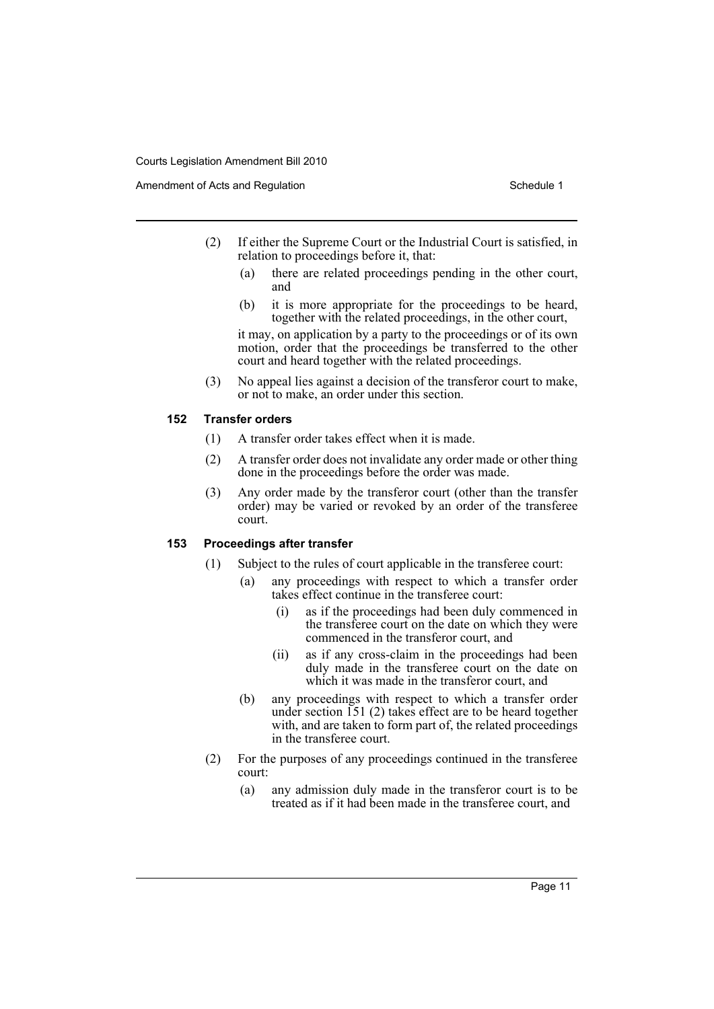- (2) If either the Supreme Court or the Industrial Court is satisfied, in relation to proceedings before it, that:
	- (a) there are related proceedings pending in the other court, and
	- (b) it is more appropriate for the proceedings to be heard, together with the related proceedings, in the other court,

it may, on application by a party to the proceedings or of its own motion, order that the proceedings be transferred to the other court and heard together with the related proceedings.

(3) No appeal lies against a decision of the transferor court to make, or not to make, an order under this section.

### **152 Transfer orders**

- (1) A transfer order takes effect when it is made.
- (2) A transfer order does not invalidate any order made or other thing done in the proceedings before the order was made.
- (3) Any order made by the transferor court (other than the transfer order) may be varied or revoked by an order of the transferee court.

### **153 Proceedings after transfer**

- (1) Subject to the rules of court applicable in the transferee court:
	- (a) any proceedings with respect to which a transfer order takes effect continue in the transferee court:
		- (i) as if the proceedings had been duly commenced in the transferee court on the date on which they were commenced in the transferor court, and
		- (ii) as if any cross-claim in the proceedings had been duly made in the transferee court on the date on which it was made in the transferor court, and
	- (b) any proceedings with respect to which a transfer order under section 151 (2) takes effect are to be heard together with, and are taken to form part of, the related proceedings in the transferee court.
- (2) For the purposes of any proceedings continued in the transferee court:
	- (a) any admission duly made in the transferor court is to be treated as if it had been made in the transferee court, and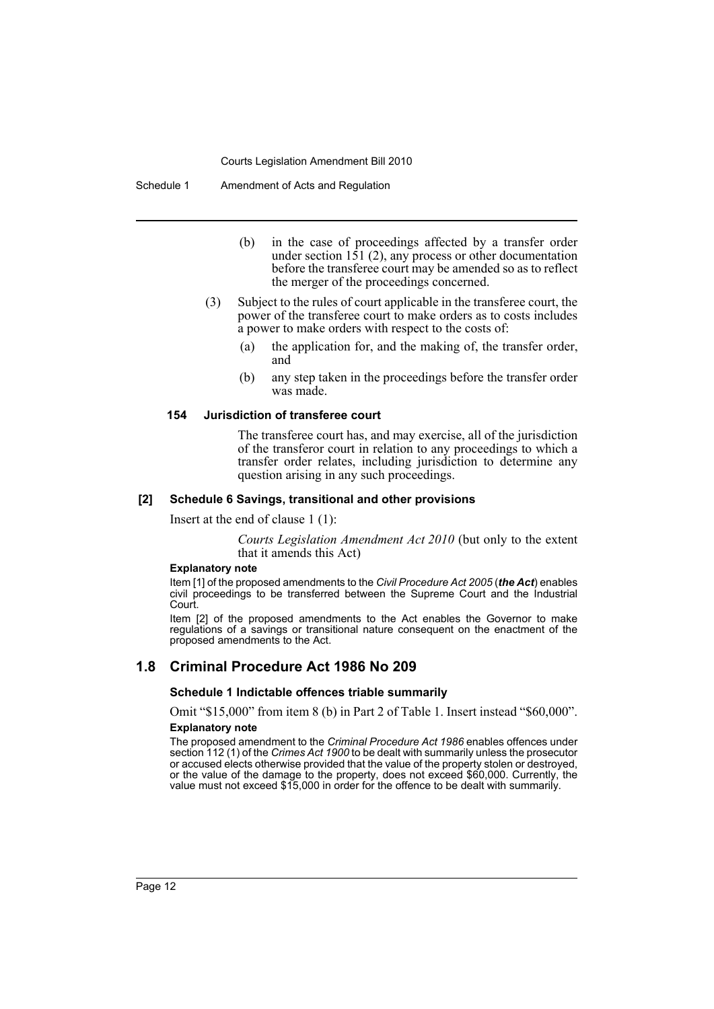Schedule 1 Amendment of Acts and Regulation

- (b) in the case of proceedings affected by a transfer order under section  $151$  (2), any process or other documentation before the transferee court may be amended so as to reflect the merger of the proceedings concerned.
- (3) Subject to the rules of court applicable in the transferee court, the power of the transferee court to make orders as to costs includes a power to make orders with respect to the costs of:
	- (a) the application for, and the making of, the transfer order, and
	- (b) any step taken in the proceedings before the transfer order was made.

#### **154 Jurisdiction of transferee court**

The transferee court has, and may exercise, all of the jurisdiction of the transferor court in relation to any proceedings to which a transfer order relates, including jurisdiction to determine any question arising in any such proceedings.

#### **[2] Schedule 6 Savings, transitional and other provisions**

Insert at the end of clause 1 (1):

*Courts Legislation Amendment Act 2010* (but only to the extent that it amends this Act)

#### **Explanatory note**

Item [1] of the proposed amendments to the *Civil Procedure Act 2005* (*the Act*) enables civil proceedings to be transferred between the Supreme Court and the Industrial Court.

Item [2] of the proposed amendments to the Act enables the Governor to make regulations of a savings or transitional nature consequent on the enactment of the proposed amendments to the Act.

### **1.8 Criminal Procedure Act 1986 No 209**

#### **Schedule 1 Indictable offences triable summarily**

Omit "\$15,000" from item 8 (b) in Part 2 of Table 1. Insert instead "\$60,000". **Explanatory note**

The proposed amendment to the *Criminal Procedure Act 1986* enables offences under section 112 (1) of the *Crimes Act 1900* to be dealt with summarily unless the prosecutor or accused elects otherwise provided that the value of the property stolen or destroyed, or the value of the damage to the property, does not exceed \$60,000. Currently, the value must not exceed \$15,000 in order for the offence to be dealt with summarily.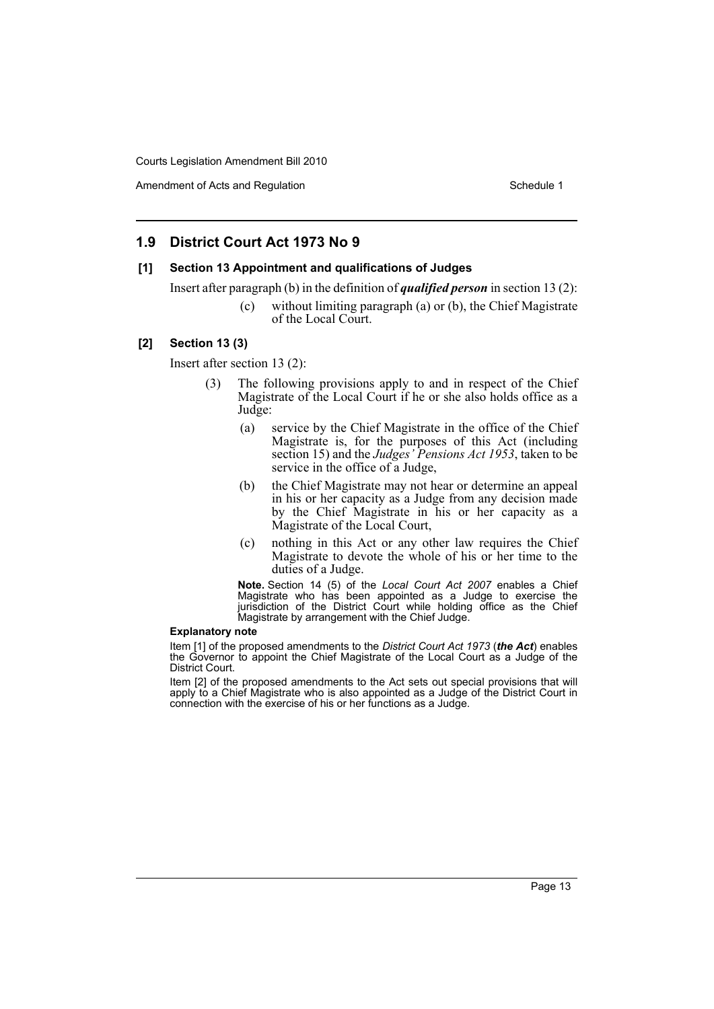Amendment of Acts and Regulation Schedule 1 and Schedule 1

### **1.9 District Court Act 1973 No 9**

#### **[1] Section 13 Appointment and qualifications of Judges**

Insert after paragraph (b) in the definition of *qualified person* in section 13 (2):

(c) without limiting paragraph (a) or (b), the Chief Magistrate of the Local Court.

#### **[2] Section 13 (3)**

Insert after section 13 (2):

- (3) The following provisions apply to and in respect of the Chief Magistrate of the Local Court if he or she also holds office as a Judge:
	- (a) service by the Chief Magistrate in the office of the Chief Magistrate is, for the purposes of this Act (including section 15) and the *Judges' Pensions Act 1953*, taken to be service in the office of a Judge,
	- (b) the Chief Magistrate may not hear or determine an appeal in his or her capacity as a Judge from any decision made by the Chief Magistrate in his or her capacity as a Magistrate of the Local Court,
	- (c) nothing in this Act or any other law requires the Chief Magistrate to devote the whole of his or her time to the duties of a Judge.

**Note.** Section 14 (5) of the *Local Court Act 2007* enables a Chief Magistrate who has been appointed as a Judge to exercise the jurisdiction of the District Court while holding office as the Chief Magistrate by arrangement with the Chief Judge.

#### **Explanatory note**

Item [1] of the proposed amendments to the *District Court Act 1973* (*the Act*) enables the Governor to appoint the Chief Magistrate of the Local Court as a Judge of the District Court.

Item [2] of the proposed amendments to the Act sets out special provisions that will apply to a Chief Magistrate who is also appointed as a Judge of the District Court in connection with the exercise of his or her functions as a Judge.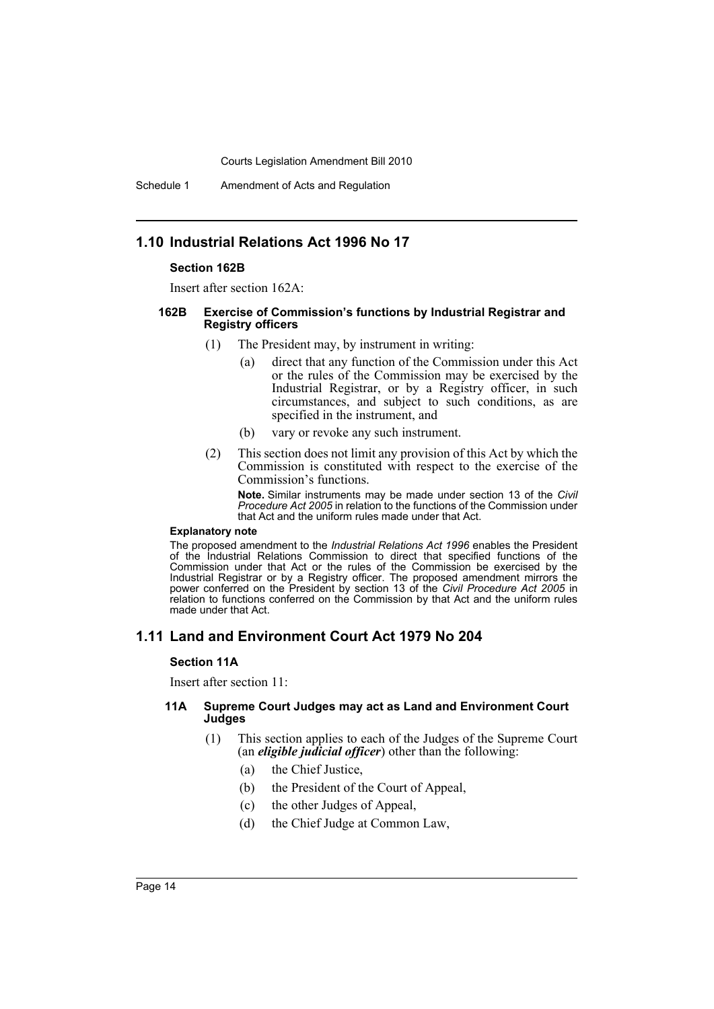Schedule 1 Amendment of Acts and Regulation

### **1.10 Industrial Relations Act 1996 No 17**

#### **Section 162B**

Insert after section 162A:

#### **162B Exercise of Commission's functions by Industrial Registrar and Registry officers**

- (1) The President may, by instrument in writing:
	- (a) direct that any function of the Commission under this Act or the rules of the Commission may be exercised by the Industrial Registrar, or by a Registry officer, in such circumstances, and subject to such conditions, as are specified in the instrument, and
	- (b) vary or revoke any such instrument.
- (2) This section does not limit any provision of this Act by which the Commission is constituted with respect to the exercise of the Commission's functions.

**Note.** Similar instruments may be made under section 13 of the *Civil Procedure Act 2005* in relation to the functions of the Commission under that Act and the uniform rules made under that Act.

#### **Explanatory note**

The proposed amendment to the *Industrial Relations Act 1996* enables the President of the Industrial Relations Commission to direct that specified functions of the Commission under that Act or the rules of the Commission be exercised by the Industrial Registrar or by a Registry officer. The proposed amendment mirrors the power conferred on the President by section 13 of the *Civil Procedure Act 2005* in relation to functions conferred on the Commission by that Act and the uniform rules made under that Act.

### **1.11 Land and Environment Court Act 1979 No 204**

#### **Section 11A**

Insert after section 11:

#### **11A Supreme Court Judges may act as Land and Environment Court Judges**

- (1) This section applies to each of the Judges of the Supreme Court (an *eligible judicial officer*) other than the following:
	- (a) the Chief Justice,
	- (b) the President of the Court of Appeal,
	- (c) the other Judges of Appeal,
	- (d) the Chief Judge at Common Law,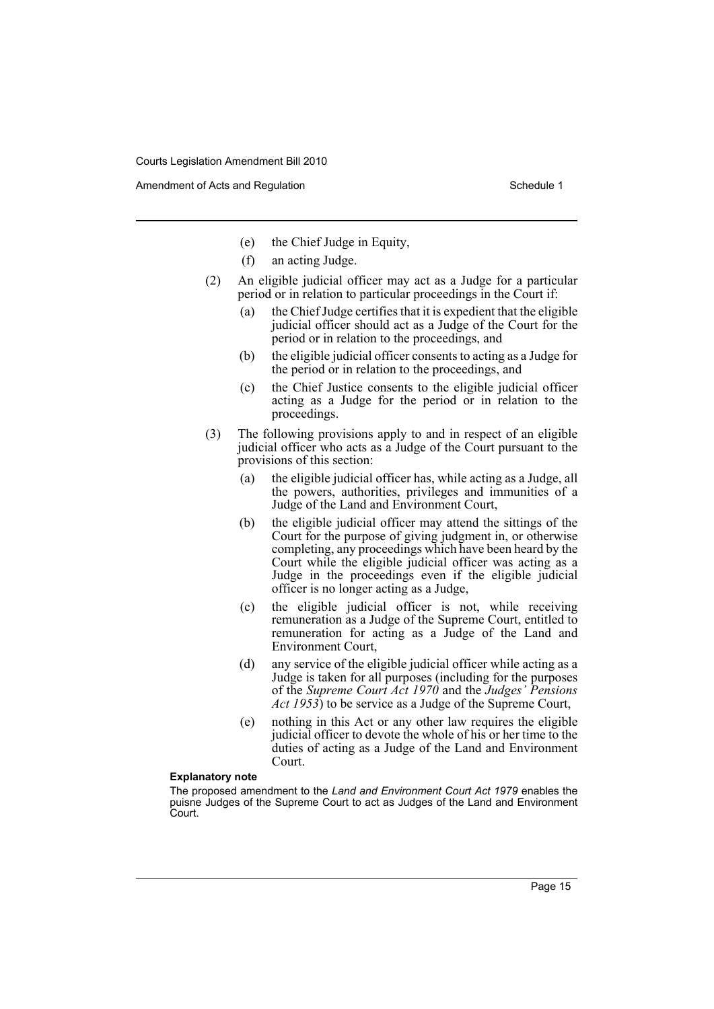Amendment of Acts and Regulation Schedule 1 and Schedule 1

- (e) the Chief Judge in Equity,
- (f) an acting Judge.
- (2) An eligible judicial officer may act as a Judge for a particular period or in relation to particular proceedings in the Court if:
	- (a) the Chief Judge certifies that it is expedient that the eligible judicial officer should act as a Judge of the Court for the period or in relation to the proceedings, and
	- (b) the eligible judicial officer consents to acting as a Judge for the period or in relation to the proceedings, and
	- (c) the Chief Justice consents to the eligible judicial officer acting as a Judge for the period or in relation to the proceedings.
- (3) The following provisions apply to and in respect of an eligible judicial officer who acts as a Judge of the Court pursuant to the provisions of this section:
	- (a) the eligible judicial officer has, while acting as a Judge, all the powers, authorities, privileges and immunities of a Judge of the Land and Environment Court,
	- (b) the eligible judicial officer may attend the sittings of the Court for the purpose of giving judgment in, or otherwise completing, any proceedings which have been heard by the Court while the eligible judicial officer was acting as a Judge in the proceedings even if the eligible judicial officer is no longer acting as a Judge,
	- (c) the eligible judicial officer is not, while receiving remuneration as a Judge of the Supreme Court, entitled to remuneration for acting as a Judge of the Land and Environment Court,
	- (d) any service of the eligible judicial officer while acting as a Judge is taken for all purposes (including for the purposes of the *Supreme Court Act 1970* and the *Judges' Pensions Act 1953*) to be service as a Judge of the Supreme Court,
	- (e) nothing in this Act or any other law requires the eligible judicial officer to devote the whole of his or her time to the duties of acting as a Judge of the Land and Environment Court.

#### **Explanatory note**

The proposed amendment to the *Land and Environment Court Act 1979* enables the puisne Judges of the Supreme Court to act as Judges of the Land and Environment Court.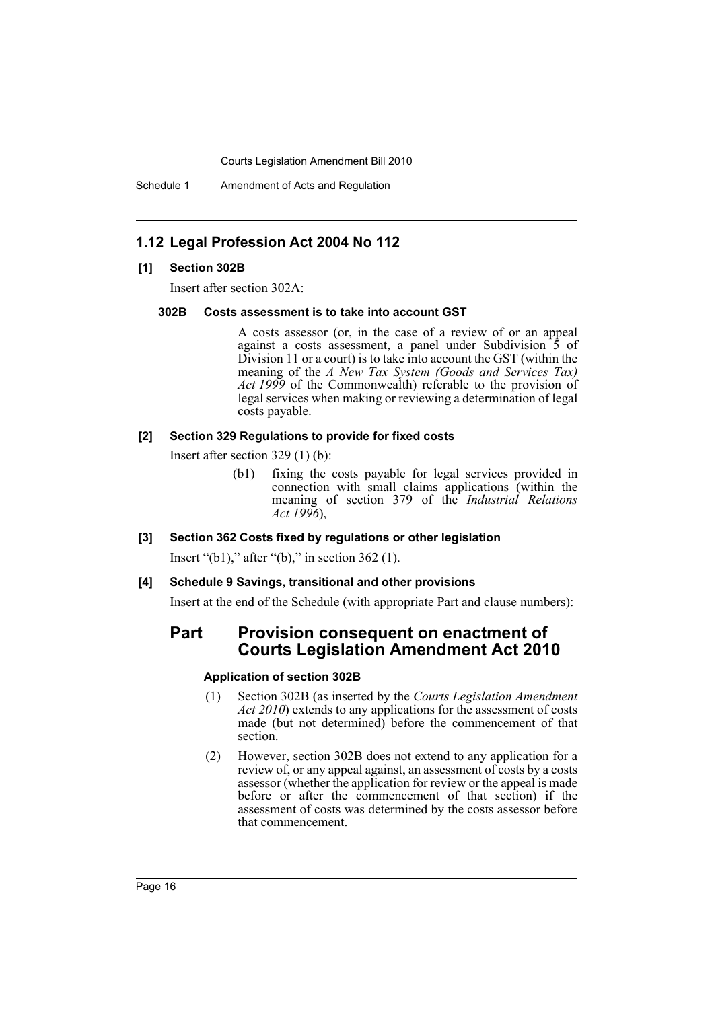Schedule 1 Amendment of Acts and Regulation

### **1.12 Legal Profession Act 2004 No 112**

#### **[1] Section 302B**

Insert after section 302A:

#### **302B Costs assessment is to take into account GST**

A costs assessor (or, in the case of a review of or an appeal against a costs assessment, a panel under Subdivision  $\overline{5}$  of Division 11 or a court) is to take into account the GST (within the meaning of the *A New Tax System (Goods and Services Tax) Act 1999* of the Commonwealth) referable to the provision of legal services when making or reviewing a determination of legal costs payable.

#### **[2] Section 329 Regulations to provide for fixed costs**

Insert after section 329 (1) (b):

- (b1) fixing the costs payable for legal services provided in connection with small claims applications (within the meaning of section 379 of the *Industrial Relations Act 1996*),
- **[3] Section 362 Costs fixed by regulations or other legislation**

Insert "(b1)," after "(b)," in section 362 (1).

#### **[4] Schedule 9 Savings, transitional and other provisions**

Insert at the end of the Schedule (with appropriate Part and clause numbers):

### **Part Provision consequent on enactment of Courts Legislation Amendment Act 2010**

#### **Application of section 302B**

- (1) Section 302B (as inserted by the *Courts Legislation Amendment Act 2010*) extends to any applications for the assessment of costs made (but not determined) before the commencement of that section.
- (2) However, section 302B does not extend to any application for a review of, or any appeal against, an assessment of costs by a costs assessor (whether the application for review or the appeal is made before or after the commencement of that section) if the assessment of costs was determined by the costs assessor before that commencement.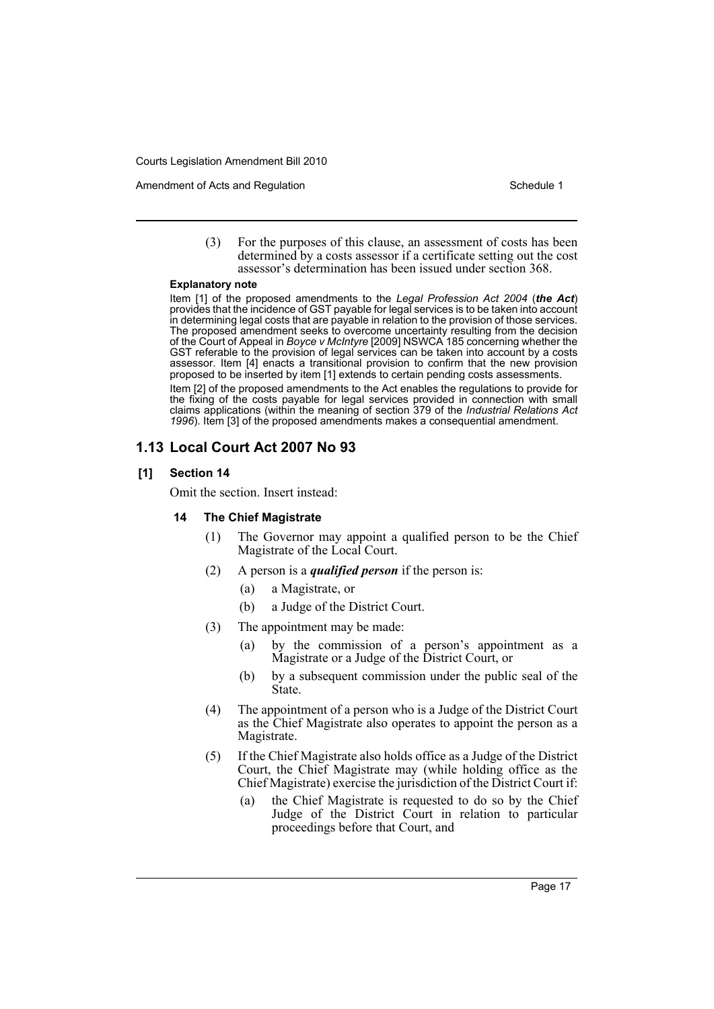Amendment of Acts and Regulation Schedule 1 and Schedule 1

(3) For the purposes of this clause, an assessment of costs has been determined by a costs assessor if a certificate setting out the cost assessor's determination has been issued under section 368.

#### **Explanatory note**

Item [1] of the proposed amendments to the *Legal Profession Act 2004* (*the Act*) provides that the incidence of GST payable for legal services is to be taken into account in determining legal costs that are payable in relation to the provision of those services. The proposed amendment seeks to overcome uncertainty resulting from the decision of the Court of Appeal in *Boyce v McIntyre* [2009] NSWCA 185 concerning whether the GST referable to the provision of legal services can be taken into account by a costs assessor. Item [4] enacts a transitional provision to confirm that the new provision proposed to be inserted by item [1] extends to certain pending costs assessments.

Item [2] of the proposed amendments to the Act enables the regulations to provide for the fixing of the costs payable for legal services provided in connection with small claims applications (within the meaning of section 379 of the *Industrial Relations Act 1996*). Item [3] of the proposed amendments makes a consequential amendment.

### **1.13 Local Court Act 2007 No 93**

#### **[1] Section 14**

Omit the section. Insert instead:

#### **14 The Chief Magistrate**

- (1) The Governor may appoint a qualified person to be the Chief Magistrate of the Local Court.
- (2) A person is a *qualified person* if the person is:
	- (a) a Magistrate, or
	- (b) a Judge of the District Court.
- (3) The appointment may be made:
	- (a) by the commission of a person's appointment as a Magistrate or a Judge of the District Court, or
	- (b) by a subsequent commission under the public seal of the State.
- (4) The appointment of a person who is a Judge of the District Court as the Chief Magistrate also operates to appoint the person as a Magistrate.
- (5) If the Chief Magistrate also holds office as a Judge of the District Court, the Chief Magistrate may (while holding office as the Chief Magistrate) exercise the jurisdiction of the District Court if:
	- (a) the Chief Magistrate is requested to do so by the Chief Judge of the District Court in relation to particular proceedings before that Court, and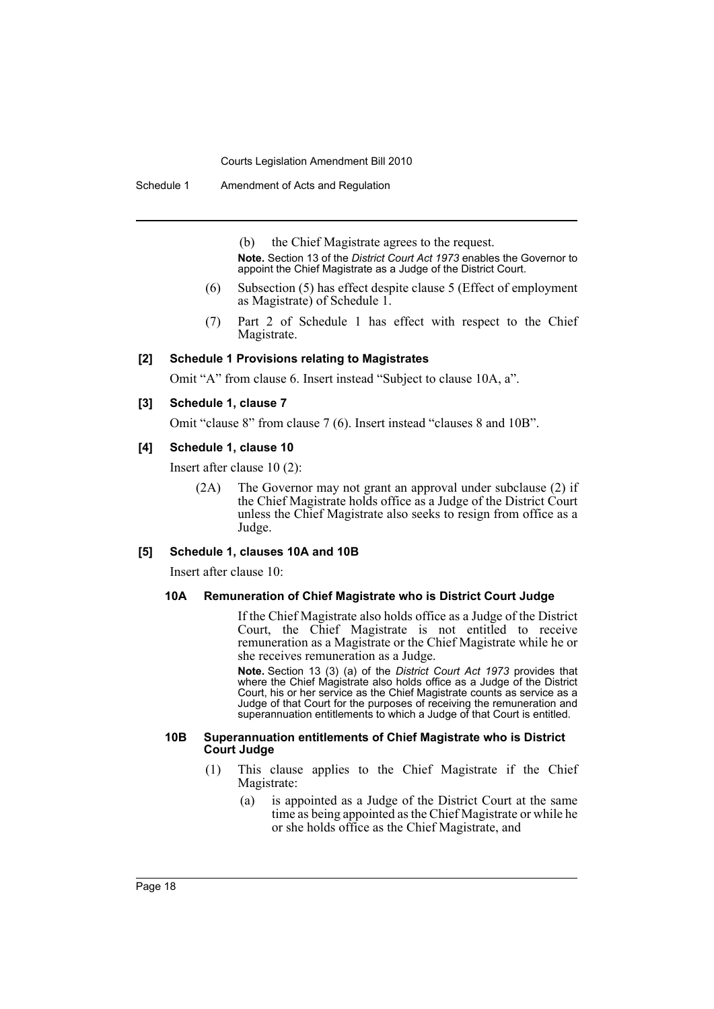Schedule 1 Amendment of Acts and Regulation

(b) the Chief Magistrate agrees to the request. **Note.** Section 13 of the *District Court Act 1973* enables the Governor to appoint the Chief Magistrate as a Judge of the District Court.

- (6) Subsection (5) has effect despite clause 5 (Effect of employment as Magistrate) of Schedule 1.
- (7) Part 2 of Schedule 1 has effect with respect to the Chief Magistrate.

#### **[2] Schedule 1 Provisions relating to Magistrates**

Omit "A" from clause 6. Insert instead "Subject to clause 10A, a".

#### **[3] Schedule 1, clause 7**

Omit "clause 8" from clause 7 (6). Insert instead "clauses 8 and 10B".

#### **[4] Schedule 1, clause 10**

Insert after clause 10 (2):

(2A) The Governor may not grant an approval under subclause (2) if the Chief Magistrate holds office as a Judge of the District Court unless the Chief Magistrate also seeks to resign from office as a Judge.

#### **[5] Schedule 1, clauses 10A and 10B**

Insert after clause 10:

### **10A Remuneration of Chief Magistrate who is District Court Judge**

If the Chief Magistrate also holds office as a Judge of the District Court, the Chief Magistrate is not entitled to receive remuneration as a Magistrate or the Chief Magistrate while he or she receives remuneration as a Judge.

**Note.** Section 13 (3) (a) of the *District Court Act 1973* provides that where the Chief Magistrate also holds office as a Judge of the District Court, his or her service as the Chief Magistrate counts as service as a Judge of that Court for the purposes of receiving the remuneration and superannuation entitlements to which a Judge of that Court is entitled.

#### **10B Superannuation entitlements of Chief Magistrate who is District Court Judge**

- (1) This clause applies to the Chief Magistrate if the Chief Magistrate:
	- (a) is appointed as a Judge of the District Court at the same time as being appointed as the Chief Magistrate or while he or she holds office as the Chief Magistrate, and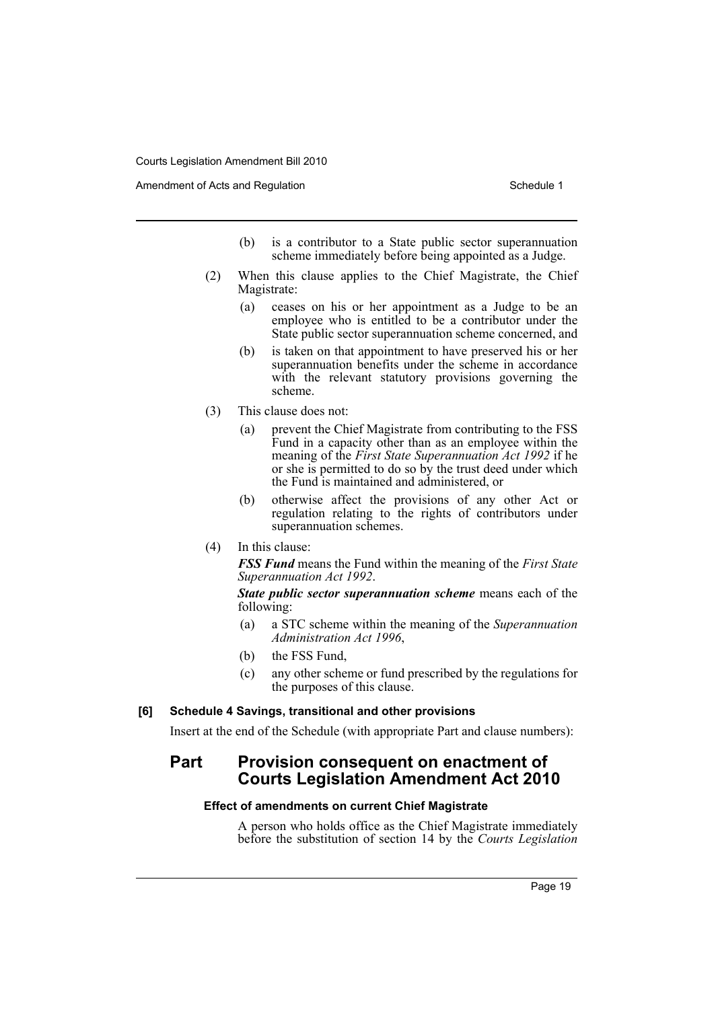Amendment of Acts and Regulation Schedule 1 and Schedule 1

- (b) is a contributor to a State public sector superannuation scheme immediately before being appointed as a Judge.
- (2) When this clause applies to the Chief Magistrate, the Chief Magistrate:
	- (a) ceases on his or her appointment as a Judge to be an employee who is entitled to be a contributor under the State public sector superannuation scheme concerned, and
	- (b) is taken on that appointment to have preserved his or her superannuation benefits under the scheme in accordance with the relevant statutory provisions governing the scheme.
- (3) This clause does not:
	- (a) prevent the Chief Magistrate from contributing to the FSS Fund in a capacity other than as an employee within the meaning of the *First State Superannuation Act 1992* if he or she is permitted to do so by the trust deed under which the Fund is maintained and administered, or
	- (b) otherwise affect the provisions of any other Act or regulation relating to the rights of contributors under superannuation schemes.
- (4) In this clause:

*FSS Fund* means the Fund within the meaning of the *First State Superannuation Act 1992*.

*State public sector superannuation scheme* means each of the following:

- (a) a STC scheme within the meaning of the *Superannuation Administration Act 1996*,
- (b) the FSS Fund,
- (c) any other scheme or fund prescribed by the regulations for the purposes of this clause.

#### **[6] Schedule 4 Savings, transitional and other provisions**

Insert at the end of the Schedule (with appropriate Part and clause numbers):

### **Part Provision consequent on enactment of Courts Legislation Amendment Act 2010**

#### **Effect of amendments on current Chief Magistrate**

A person who holds office as the Chief Magistrate immediately before the substitution of section 14 by the *Courts Legislation*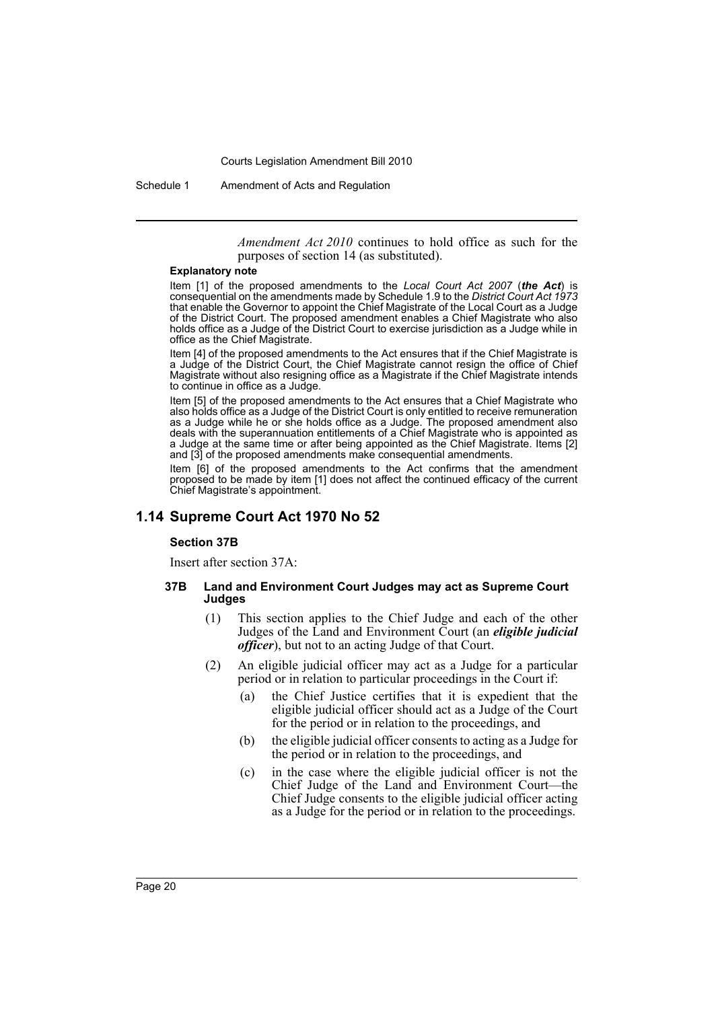Schedule 1 Amendment of Acts and Regulation

*Amendment Act 2010* continues to hold office as such for the purposes of section 14 (as substituted).

#### **Explanatory note**

Item [1] of the proposed amendments to the *Local Court Act 2007* (*the Act*) is consequential on the amendments made by Schedule 1.9 to the *District Court Act 1973* that enable the Governor to appoint the Chief Magistrate of the Local Court as a Judge of the District Court. The proposed amendment enables a Chief Magistrate who also holds office as a Judge of the District Court to exercise jurisdiction as a Judge while in office as the Chief Magistrate.

Item [4] of the proposed amendments to the Act ensures that if the Chief Magistrate is a Judge of the District Court, the Chief Magistrate cannot resign the office of Chief Magistrate without also resigning office as a Magistrate if the Chief Magistrate intends to continue in office as a Judge.

Item [5] of the proposed amendments to the Act ensures that a Chief Magistrate who also holds office as a Judge of the District Court is only entitled to receive remuneration as a Judge while he or she holds office as a Judge. The proposed amendment also deals with the superannuation entitlements of a Chief Magistrate who is appointed as a Judge at the same time or after being appointed as the Chief Magistrate. Items [2] and [3] of the proposed amendments make consequential amendments.

Item [6] of the proposed amendments to the Act confirms that the amendment proposed to be made by item [1] does not affect the continued efficacy of the current Chief Magistrate's appointment.

### **1.14 Supreme Court Act 1970 No 52**

#### **Section 37B**

Insert after section 37A:

#### **37B Land and Environment Court Judges may act as Supreme Court Judges**

- (1) This section applies to the Chief Judge and each of the other Judges of the Land and Environment Court (an *eligible judicial officer*), but not to an acting Judge of that Court.
- (2) An eligible judicial officer may act as a Judge for a particular period or in relation to particular proceedings in the Court if:
	- (a) the Chief Justice certifies that it is expedient that the eligible judicial officer should act as a Judge of the Court for the period or in relation to the proceedings, and
	- (b) the eligible judicial officer consents to acting as a Judge for the period or in relation to the proceedings, and
	- (c) in the case where the eligible judicial officer is not the Chief Judge of the Land and Environment Court—the Chief Judge consents to the eligible judicial officer acting as a Judge for the period or in relation to the proceedings.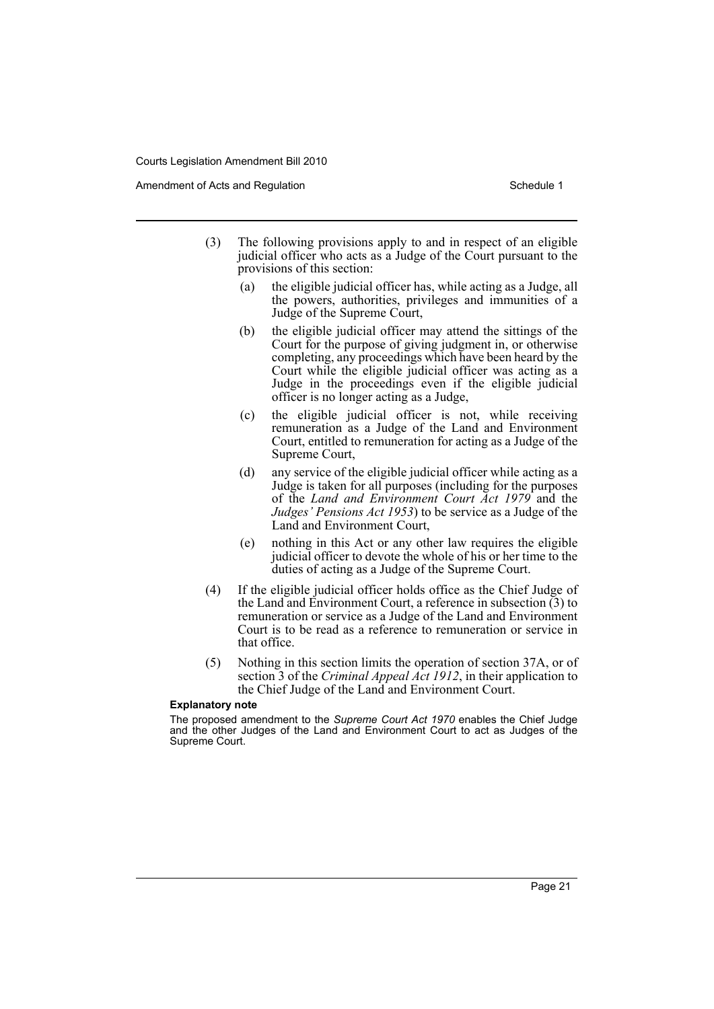Amendment of Acts and Regulation Schedule 1 and Schedule 1

- (3) The following provisions apply to and in respect of an eligible judicial officer who acts as a Judge of the Court pursuant to the provisions of this section:
	- (a) the eligible judicial officer has, while acting as a Judge, all the powers, authorities, privileges and immunities of a Judge of the Supreme Court,
	- (b) the eligible judicial officer may attend the sittings of the Court for the purpose of giving judgment in, or otherwise completing, any proceedings which have been heard by the Court while the eligible judicial officer was acting as a Judge in the proceedings even if the eligible judicial officer is no longer acting as a Judge,
	- (c) the eligible judicial officer is not, while receiving remuneration as a Judge of the Land and Environment Court, entitled to remuneration for acting as a Judge of the Supreme Court,
	- (d) any service of the eligible judicial officer while acting as a Judge is taken for all purposes (including for the purposes of the *Land and Environment Court Act 1979* and the *Judges' Pensions Act 1953*) to be service as a Judge of the Land and Environment Court,
	- (e) nothing in this Act or any other law requires the eligible judicial officer to devote the whole of his or her time to the duties of acting as a Judge of the Supreme Court.
- (4) If the eligible judicial officer holds office as the Chief Judge of the Land and Environment Court, a reference in subsection  $(3)$  to remuneration or service as a Judge of the Land and Environment Court is to be read as a reference to remuneration or service in that office.
- (5) Nothing in this section limits the operation of section 37A, or of section 3 of the *Criminal Appeal Act 1912*, in their application to the Chief Judge of the Land and Environment Court.

#### **Explanatory note**

The proposed amendment to the *Supreme Court Act 1970* enables the Chief Judge and the other Judges of the Land and Environment Court to act as Judges of the Supreme Court.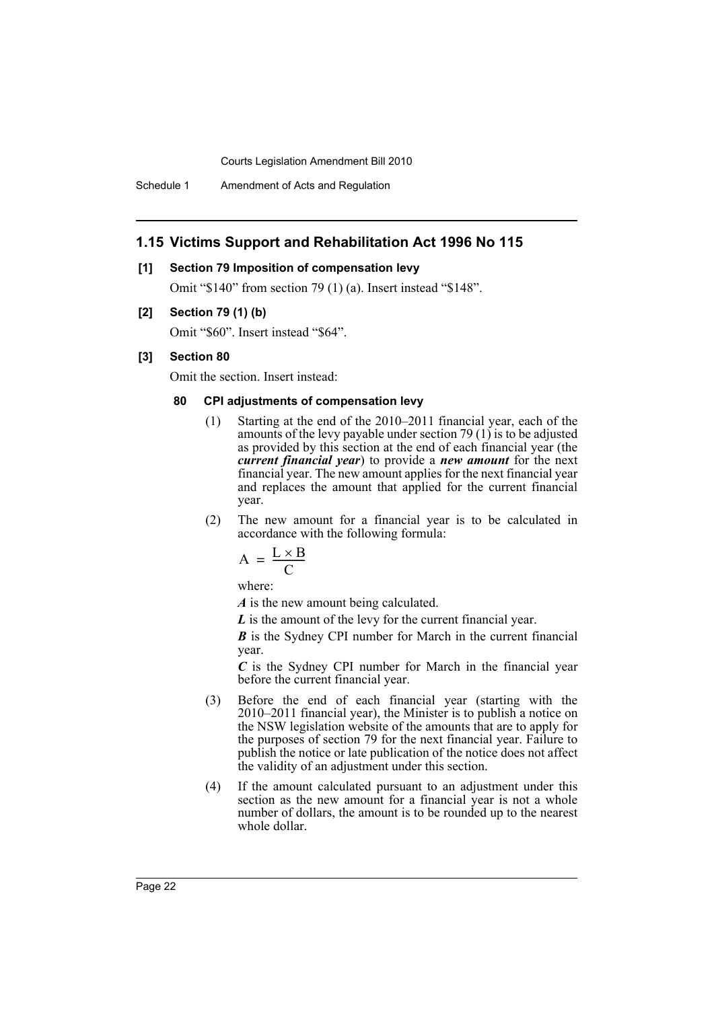Schedule 1 Amendment of Acts and Regulation

### **1.15 Victims Support and Rehabilitation Act 1996 No 115**

#### **[1] Section 79 Imposition of compensation levy**

Omit "\$140" from section 79 (1) (a). Insert instead "\$148".

#### **[2] Section 79 (1) (b)**

Omit "\$60". Insert instead "\$64".

#### **[3] Section 80**

Omit the section. Insert instead:

### **80 CPI adjustments of compensation levy**

- (1) Starting at the end of the 2010–2011 financial year, each of the amounts of the levy payable under section 79 (1) is to be adjusted as provided by this section at the end of each financial year (the *current financial year*) to provide a *new amount* for the next financial year. The new amount applies for the next financial year and replaces the amount that applied for the current financial year.
- (2) The new amount for a financial year is to be calculated in accordance with the following formula:

$$
A = \frac{L \times B}{C}
$$

where:

*A* is the new amount being calculated.

*L* is the amount of the levy for the current financial year.

*B* is the Sydney CPI number for March in the current financial year.

*C* is the Sydney CPI number for March in the financial year before the current financial year.

- (3) Before the end of each financial year (starting with the 2010–2011 financial year), the Minister is to publish a notice on the NSW legislation website of the amounts that are to apply for the purposes of section 79 for the next financial year. Failure to publish the notice or late publication of the notice does not affect the validity of an adjustment under this section.
- (4) If the amount calculated pursuant to an adjustment under this section as the new amount for a financial year is not a whole number of dollars, the amount is to be rounded up to the nearest whole dollar.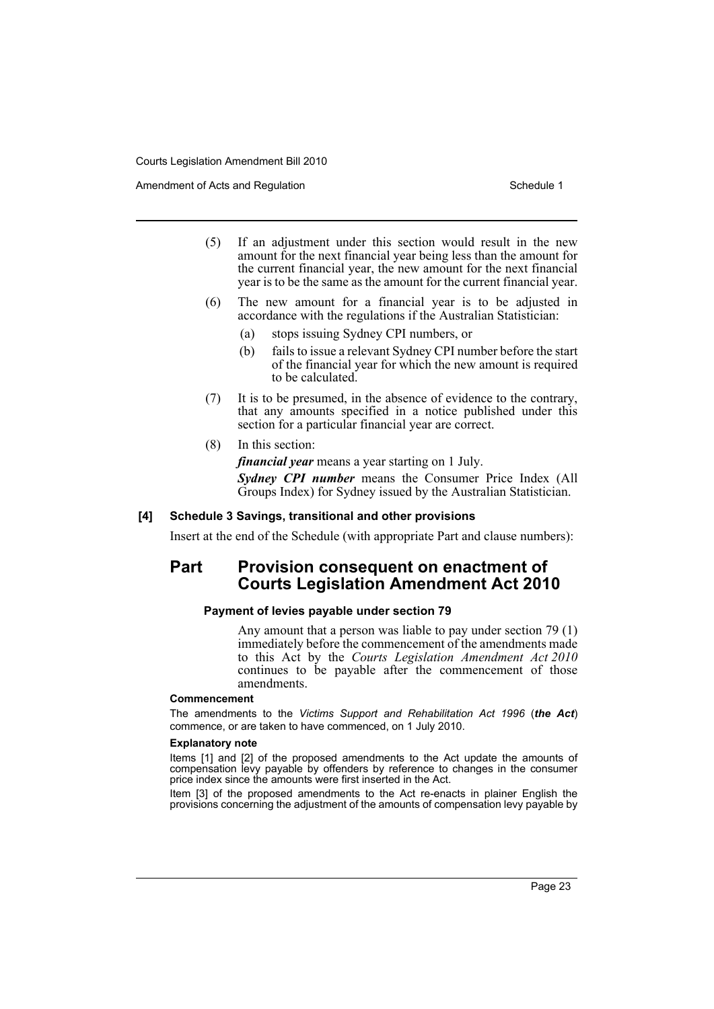- Amendment of Acts and Regulation Schedule 1 and Schedule 1
	- (5) If an adjustment under this section would result in the new amount for the next financial year being less than the amount for the current financial year, the new amount for the next financial year is to be the same as the amount for the current financial year.
	- (6) The new amount for a financial year is to be adjusted in accordance with the regulations if the Australian Statistician:
		- (a) stops issuing Sydney CPI numbers, or
		- (b) fails to issue a relevant Sydney CPI number before the start of the financial year for which the new amount is required to be calculated.
	- (7) It is to be presumed, in the absence of evidence to the contrary, that any amounts specified in a notice published under this section for a particular financial year are correct.
	- (8) In this section:

*financial year* means a year starting on 1 July.

*Sydney CPI number* means the Consumer Price Index (All Groups Index) for Sydney issued by the Australian Statistician.

#### **[4] Schedule 3 Savings, transitional and other provisions**

Insert at the end of the Schedule (with appropriate Part and clause numbers):

### **Part Provision consequent on enactment of Courts Legislation Amendment Act 2010**

### **Payment of levies payable under section 79**

Any amount that a person was liable to pay under section 79 (1) immediately before the commencement of the amendments made to this Act by the *Courts Legislation Amendment Act 2010* continues to be payable after the commencement of those amendments.

#### **Commencement**

The amendments to the *Victims Support and Rehabilitation Act 1996* (*the Act*) commence, or are taken to have commenced, on 1 July 2010.

#### **Explanatory note**

Items [1] and [2] of the proposed amendments to the Act update the amounts of compensation levy payable by offenders by reference to changes in the consumer price index since the amounts were first inserted in the Act.

Item [3] of the proposed amendments to the Act re-enacts in plainer English the provisions concerning the adjustment of the amounts of compensation levy payable by